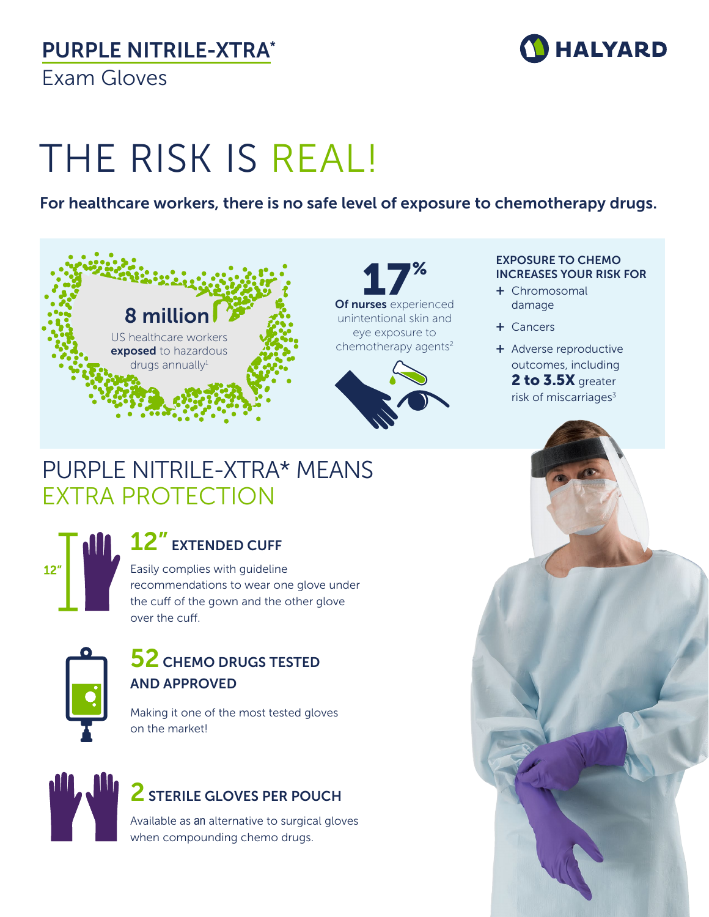# PURPLE NITRILE-XTRA\*

Exam Gloves



# THE RISK IS REAL!

### For healthcare workers, there is no safe level of exposure to chemotherapy drugs.

## 8 million US healthcare workers exposed to hazardous  $drugs$  annually $1$

17% Of nurses experienced unintentional skin and eye exposure to chemotherapy agents<sup>2</sup>



#### EXPOSURE TO CHEMO INCREASES YOUR RISK FOR

- + Chromosomal damage
- + Cancers
- + Adverse reproductive outcomes, including 2 to 3.5X greater risk of miscarriages $3$

## PURPLE NITRILE-XTRA\* MEANS EXTRA PROTECTION



## 12" EXTENDED CUFF

Easily complies with guideline recommendations to wear one glove under the cuff of the gown and the other glove over the cuff.



### **52 CHEMO DRUGS TESTED** AND APPROVED

Making it one of the most tested gloves on the market!



### 2 STERILE GLOVES PER POUCH

Available as an alternative to surgical gloves when compounding chemo drugs.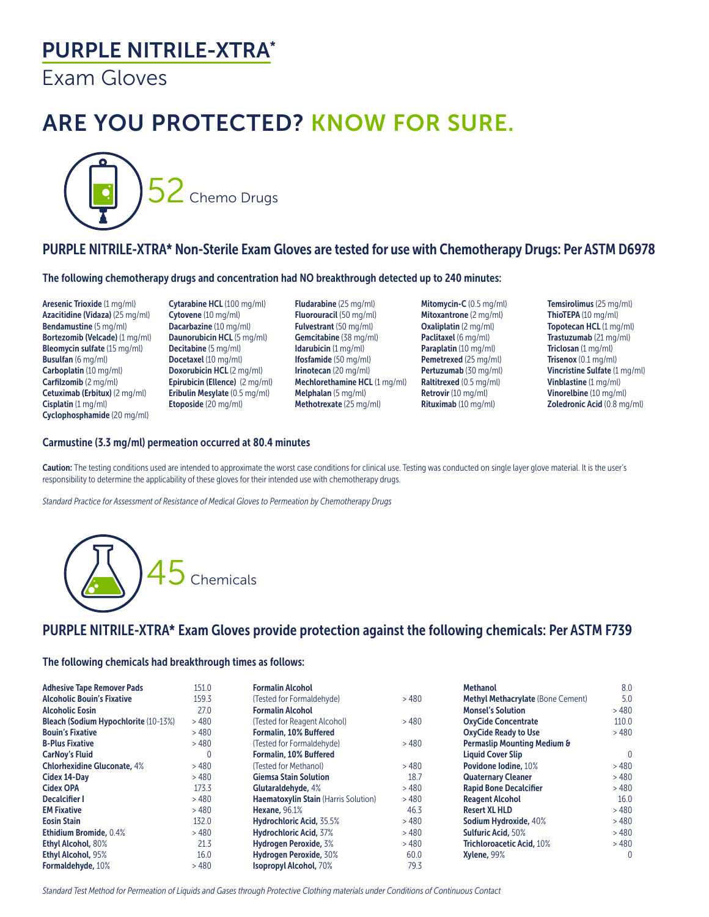### PURPLE NITRILE-XTRA\*

Exam Gloves

# ARE YOU PROTECTED? KNOW FOR SURE.



### PURPLE NITRILE-XTRA\* Non-Sterile Exam Gloves are tested for use with Chemotherapy Drugs: Per ASTM D6978

The following chemotherapy drugs and concentration had NO breakthrough detected up to 240 minutes:

Aresenic Trioxide (1 mg/ml) Azacitidine (Vidaza) (25 mg/ml) Bendamustine (5 mg/ml) Bortezomib (Velcade) (1 mg/ml) Bleomycin sulfate (15 mg/ml) Busulfan (6 mg/ml) Carboplatin (10 mg/ml) Carfilzomib (2 mg/ml) Cetuximab (Erbitux) (2 mg/ml) Cisplatin (1 mg/ml) Cyclophosphamide (20 mg/ml)

Cytarabine HCL (100 mg/ml) Cytovene (10 mg/ml) Dacarbazine (10 mg/ml) Daunorubicin HCL (5 mg/ml) Decitabine (5 mg/ml) Docetaxel (10 mg/ml) Doxorubicin HCL (2 mg/ml) Epirubicin (Ellence) (2 mg/ml) Eribulin Mesylate (0.5 mg/ml) Etoposide (20 mg/ml)

Fludarabine (25 mg/ml) Fluorouracil (50 mg/ml) Fulvestrant (50 mg/ml) Gemcitabine (38 mg/ml) Idarubicin (1 mg/ml) Ifosfamide (50 mg/ml) Irinotecan (20 mg/ml) Mechlorethamine HCL (1 mg/ml) Melphalan (5 mg/ml) Methotrexate (25 mg/ml)

Mitomycin-C (0.5 mg/ml) Mitoxantrone (2 mg/ml) Oxaliplatin (2 mg/ml) Paclitaxel (6 mg/ml) Paraplatin (10 mg/ml) Pemetrexed (25 mg/ml) Pertuzumab (30 mg/ml) Raltitrexed (0.5 mg/ml) Retrovir (10 mg/ml) Rituximab (10 mg/ml)

Temsirolimus (25 mg/ml) ThioTEPA (10 mg/ml) Topotecan HCL (1 mg/ml) Trastuzumab (21 mg/ml) Triclosan (1 mg/ml) Trisenox (0.1 mg/ml) Vincristine Sulfate (1 mg/ml) Vinblastine (1 mg/ml) Vinorelbine (10 mg/ml) Zoledronic Acid (0.8 mg/ml)

#### Carmustine (3.3 mg/ml) permeation occurred at 80.4 minutes

Caution: The testing conditions used are intended to approximate the worst case conditions for clinical use. Testing was conducted on single layer glove material. It is the user's responsibility to determine the applicability of these gloves for their intended use with chemotherapy drugs.

*Standard Practice for Assessment of Resistance of Medical Gloves to Permeation by Chemotherapy Drugs*



### PURPLE NITRILE-XTRA\* Exam Gloves provide protection against the following chemicals: Per ASTM F739

#### The following chemicals had breakthrough times as follows:

| <b>Adhesive Tape Remover Pads</b>           | 151.0    | <b>Formalin Alcohol</b>              |      | <b>Methanol</b>                          | 8.0            |
|---------------------------------------------|----------|--------------------------------------|------|------------------------------------------|----------------|
| <b>Alcoholic Bouin's Fixative</b>           | 159.3    | (Tested for Formaldehyde)            | >480 | <b>Methyl Methacrylate (Bone Cement)</b> | 5.0            |
| <b>Alcoholic Eosin</b>                      | 27.0     | <b>Formalin Alcohol</b>              |      | <b>Monsel's Solution</b>                 | >480           |
| <b>Bleach (Sodium Hypochlorite (10-13%)</b> | >480     | (Tested for Reagent Alcohol)         | >480 | <b>OxyCide Concentrate</b>               | 110.0          |
| <b>Bouin's Fixative</b>                     | >480     | Formalin, 10% Buffered               |      | <b>OxyCide Ready to Use</b>              | >480           |
| <b>B-Plus Fixative</b>                      | >480     | (Tested for Formaldehyde)            | >480 | Permaslip Mounting Medium &              |                |
| <b>CarNoy's Fluid</b>                       | $\Omega$ | <b>Formalin, 10% Buffered</b>        |      | <b>Liquid Cover Slip</b>                 | $\overline{0}$ |
| <b>Chlorhexidine Gluconate, 4%</b>          | >480     | (Tested for Methanol)                | >480 | Povidone lodine, 10%                     | >480           |
| Cidex 14-Dav                                | >480     | <b>Giemsa Stain Solution</b>         | 18.7 | <b>Quaternary Cleaner</b>                | >480           |
| <b>Cidex OPA</b>                            | 173.3    | Glutaraldehyde, 4%                   | >480 | <b>Rapid Bone Decalcifier</b>            | >480           |
| <b>Decalcifier I</b>                        | >480     | Haematoxylin Stain (Harris Solution) | >480 | <b>Reagent Alcohol</b>                   | 16.0           |
| <b>EM Fixative</b>                          | >480     | <b>Hexane, 96.1%</b>                 | 46.3 | <b>Resert XL HLD</b>                     | >480           |
| <b>Eosin Stain</b>                          | 132.0    | <b>Hydrochloric Acid, 35.5%</b>      | >480 | Sodium Hydroxide, 40%                    | >480           |
| <b>Ethidium Bromide, 0.4%</b>               | >480     | <b>Hydrochloric Acid. 37%</b>        | >480 | <b>Sulfuric Acid, 50%</b>                | >480           |
| <b>Ethyl Alcohol, 80%</b>                   | 21.3     | Hydrogen Peroxide, 3%                | >480 | <b>Trichloroacetic Acid, 10%</b>         | >480           |
| <b>Ethyl Alcohol, 95%</b>                   | 16.0     | Hydrogen Peroxide, 30%               | 60.0 | Xylene, 99%                              | $\mathbf{0}$   |
| Formaldehyde, 10%                           | >480     | <b>Isopropyl Alcohol, 70%</b>        | 79.3 |                                          |                |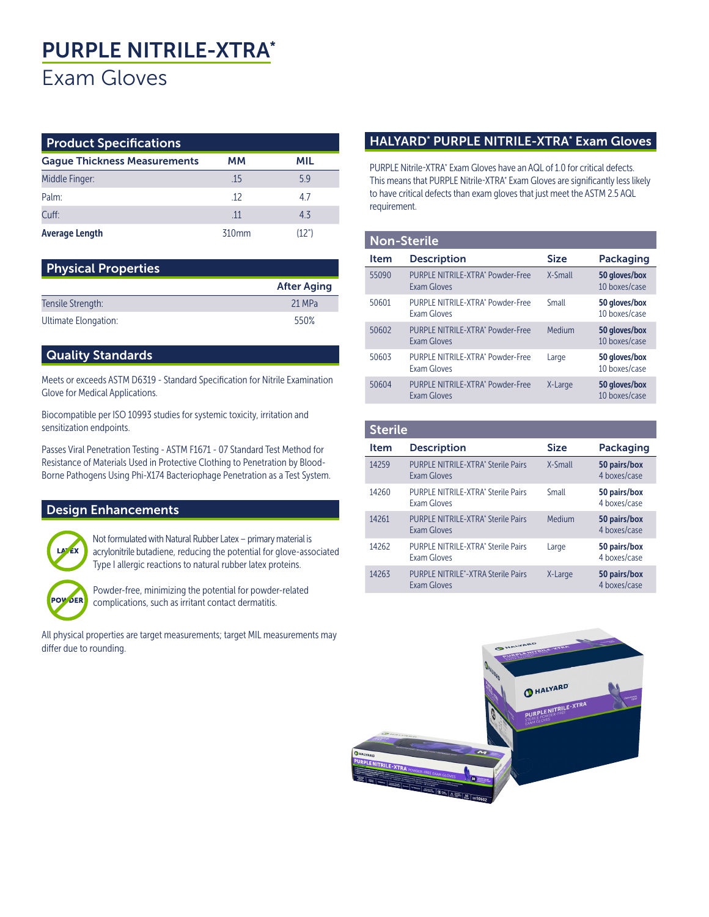# PURPLE NITRILE-XTRA\* Exam Gloves

| <b>Product Specifications</b>       |                   |       |  |  |  |  |  |
|-------------------------------------|-------------------|-------|--|--|--|--|--|
| <b>Gague Thickness Measurements</b> | мм                | MIL   |  |  |  |  |  |
| Middle Finger:                      | .15               | 59    |  |  |  |  |  |
| Palm <sup>-</sup>                   | -12               | 47    |  |  |  |  |  |
| Cuff:                               | 11                | 43    |  |  |  |  |  |
| <b>Average Length</b>               | 310 <sub>mm</sub> | (12") |  |  |  |  |  |

| <b>Physical Properties</b> |                    |  |  |  |  |
|----------------------------|--------------------|--|--|--|--|
|                            | <b>After Aging</b> |  |  |  |  |
| Tensile Strength:          | 21 MPa             |  |  |  |  |
| Ultimate Elongation:       | 550%               |  |  |  |  |

#### Quality Standards

Meets or exceeds ASTM D6319 - Standard Specification for Nitrile Examination Glove for Medical Applications.

Biocompatible per ISO 10993 studies for systemic toxicity, irritation and sensitization endpoints.

Passes Viral Penetration Testing - ASTM F1671 - 07 Standard Test Method for Resistance of Materials Used in Protective Clothing to Penetration by Blood-Borne Pathogens Using Phi-X174 Bacteriophage Penetration as a Test System.

#### Design Enhancements



POV DER

Not formulated with Natural Rubber Latex – primary material is acrylonitrile butadiene, reducing the potential for glove-associated Type I allergic reactions to natural rubber latex proteins.

Powder-free, minimizing the potential for powder-related complications, such as irritant contact dermatitis.

All physical properties are target measurements; target MIL measurements may differ due to rounding.

#### HALYARD\* PURPLE NITRILE-XTRA\* Exam Gloves

PURPLE Nitrile-XTRA\* Exam Gloves have an AQL of 1.0 for critical defects. This means that PURPLE Nitrile-XTRA\* Exam Gloves are significantly less likely to have critical defects than exam gloves that just meet the ASTM 2.5 AQL requirement.

#### Non-Sterile

| <b>Item</b> | <b>Description</b>                                     | <b>Size</b> | Packaging                      |
|-------------|--------------------------------------------------------|-------------|--------------------------------|
| 55090       | PURPLE NITRILE-XTRA* Powder-Free<br>Exam Gloves        | X-Small     | 50 gloves/box<br>10 boxes/case |
| 50601       | PURPLE NITRILE-XTRA* Powder-Free<br><b>Exam Gloves</b> | Small       | 50 gloves/box<br>10 boxes/case |
| 50602       | PURPLE NITRILE-XTRA* Powder-Free<br>Exam Gloves        | Medium      | 50 gloves/box<br>10 boxes/case |
| 50603       | PURPLE NITRILE-XTRA* Powder-Free<br>Exam Gloves        | Large       | 50 gloves/box<br>10 boxes/case |
| 50604       | PURPLE NITRILE-XTRA* Powder-Free<br>Exam Gloves        | X-Large     | 50 gloves/box<br>10 boxes/case |

#### **Sterile** Item Description Size Packaging 14259 PURPLE NITRILE-XTRA\* Sterile Pairs Exam Gloves X-Small 50 pairs/box 4 boxes/case 14260 PURPLE NITRILE-XTRA\* Sterile Pairs Exam Gloves Small 50 pairs/box 4 boxes/case 14261 PURPLE NITRILE-XTRA\* Sterile Pairs Exam Gloves Medium 50 pairs/box 4 boxes/case 14262 PURPLE NITRILE-XTRA\* Sterile Pairs Exam Gloves Large 50 pairs/box 4 boxes/case 14263 PURPLE NITRILE\* -XTRA Sterile Pairs Exam Gloves X-Large 50 pairs/box 4 boxes/case